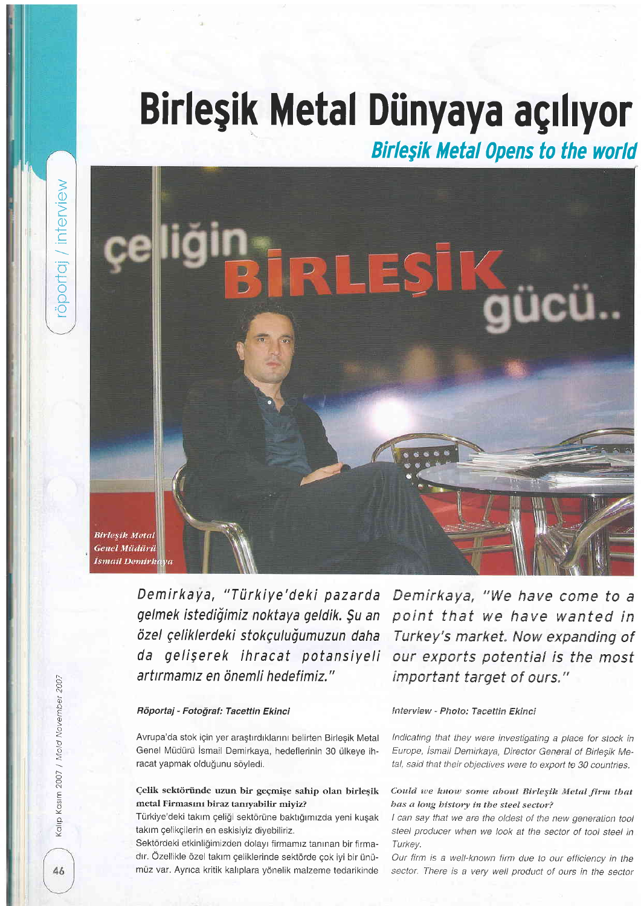# Birleşik Metal Dünyaya açılıyor

**Birleşik Metal Opens to the world** 

**Birleşik Metal Genel Müdürü** İsmail Demirk<mark>ı</mark>

> Demirkaya, "Türkiye'deki pazarda gelmek istediğimiz noktaya geldik. Su an özel çeliklerdeki stokçuluğumuzun daha da gelişerek ihracat potansiyeli artırmamız en önemli hedefimiz."

#### Röportaj - Fotoğraf: Tacettin Ekinci

Avrupa'da stok için yer arastırdıklarını belirten Birlesik Metal Genel Müdürü İsmail Demirkaya, hedeflerinin 30 ülkeye ihracat yapmak olduğunu söyledi.

## Çelik sektöründe uzun bir geçmişe sahip olan birleşik metal Firmasını biraz tanıyabilir miyiz?

Türkiye'deki takım çeliği sektörüne baktığımızda yeni kuşak takım çelikçilerin en eskisiyiz diyebiliriz.

Sektördeki etkinliğimizden dolayı firmamız tanınan bir firmadır. Özellikle özel takım çeliklerinde sektörde çok iyi bir ünümüz var. Ayrıca kritik kalıplara yönelik malzeme tedarikinde

Demirkaya, "We have come to a point that we have wanted in Turkey's market. Now expanding of our exports potential is the most important target of ours."

#### Interview - Photo: Tacettin Ekinci

Indicating that they were investigating a place for stock in Europe, İsmail Demirkaya, Director General of Birlesik Metal, said that their objectives were to export to 30 countries.

### Could we know some about Birleşik Metal firm that bas a long bistory in the steel sector?

I can say that we are the oldest of the new generation tool steel producer when we look at the sector of tool steel in Turkev.

Our firm is a well-known firm due to our efficiency in the sector. There is a very well product of ours in the sector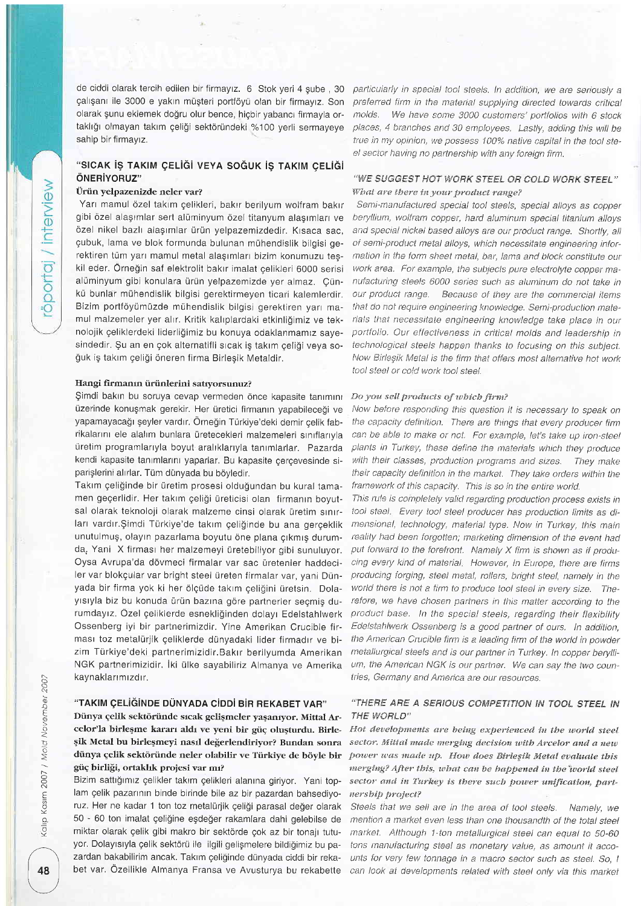öportaj / interview

de ciddi olarak tercih edilen bir firmayız. 6 Stok yeri 4 şube , 30 particularly in special tool steels. In addition, we are seriously a çalışanı ile 3000 e yakın müşteri portföyü olan bir firmayız. Son olarak şunu eklemek doğru olur bence, hiçbir yabancı firmayla ortaklığı olmayan takım celiği sektöründeki %100 yerli sermayeye sahip bir firmayız.

# "SICAK İS TAKIM CELİĞİ VEYA SOĞUK İS TAKIM CELİĞİ ÖNERİYORUZ"

# Uriin yelpazenizde neler var?

Yarı mamul özel takım çelikleri, bakır berilyum wolfram bakır gibi özel alaşımlar sert alüminyum özel titanyum alaşımları ve özel nikel bazlı alaşımlar ürün yelpazemizdedir. Kısaca sac, gubuk, lama ve blok formunda bulunan muhendislik bilgisi gerektiren tüm yarı mamul metal alaşımları bizim konumuzu teşkil eder. Örneğin saf elektrolit bakır imalat çelikleri 6000 serisi alüminyum gibi konulara ürün yelpazemizde yer almaz. Cünku bunlar muhendislik bilgisi gerektirmeyen ticari kalemlerdir. Bizim portföyümüzde mühendislik bilgisi gerektiren yarı mamul malzemeler yer alrr, Kritik kalrplardaki etkinligimiz ve teknolojik geliklerdeki liderligimiz bu konuya odaklanmamrz sayesindedir. Şu an en çok alternatifli sıcak iş takım çeliği veya soğuk iş takım çeliği öneren firma Birleşik Metaldir.

#### Hangi firmanın ürünlerini satıyorsunuz?

Simdi bakın bu soruya cevap vermeden önce kapasite tanımını üzerinde konuşmak gerekir. Her üretici firmanın yapabileceği ve yapamayacağı şeyler vardır. Örneğin Türkiye'deki demir çelik fabrikalarını ele alalım bunlara üretecekleri malzemeleri sınıflarıyla uretim programlanyla boyut aralrklarryla tanrmlarlar. Pazarda kendi kapasite tanımlarını yaparlar. Bu kapasite cercevesinde siparişlerini alırlar. Tüm dünyada bu böyledir.

Takım çeliğinde bir üretim prosesi olduğundan bu kural tamamen geçerlidir. Her takım çeliği üreticisi olan firmanın boyutsal olarak teknoloji olarak malzeme cinsi olarak üretim sınırları vardır. Şimdi Türkiye'de takım çeliğinde bu ana gerçeklik unutulmuş, olayın pazarlama boyutu öne plana çıkmış durumda, Yani X firması her malzemeyi üretebiliyor gibi sunuluyor. Oysa Avrupa'da dövmeci firmalar var sac üretenler haddeciler var blokçular var bright steel üreten firmalar var, vani Dünyada bir firma yok ki her ölçüde takım çeliğini üretsin. Dolayısıyla biz bu konuda ürün bazına göre partnerler seçmiş durumdayrz. Ozel geliklerde esnekliginden dolayr Edelstahlwerk Ossenberg iyi bir partnerimizdir, Yine Amerikan Crucible firması toz metalürjik çeliklerde dünyadaki lider firmadır ve bizim Türkiye'deki partnerimizidir.Bakır berilyumda Amerikan NGK partnerimizidir. iki ulke sayabiliriz Almanya ve Amerika kaynaklarımızdır.

#### "TAKIM ÇELİĞİNDE DÜNYADA CİDDİ BİR REKABET VAR"

Dünya çelik sektöründe sıcak gelişmeler yaşanıyor. Mittal Arcelor'la birleşme kararı aldı ve yeni bir güç oluşturdu. Birleşik Metal bu birleşmeyi nasıl değerlendiriyor? Bundan sonra dünya çelik sektöründe neler olabilir ve Türkiye de böyle bir güç birliği, ortaklık projesi var mı?

Bizim sattığımız çelikler takım çelikleri alanına giriyor. Yani toplam çelik pazarının binde birinde bile az bir pazardan bahsediyoruz. Her ne kadar 1 ton toz metalürjik çeliği parasal değer olarak 50 - 60 ton imalat qeligine egdeger rakamlara dahi gelebilse de miktar olarak çelik gibi makro bir sektörde çok az bir tonajı tutuyor. Dolayısıyla çelik sektörü ile ilgili gelişmelere bildiğimiz bu pazardan bakabilirim ancak. Takım celiğinde dünyada ciddi bir rekabet var. Özellikle Almanya Fransa ve Avusturya bu rekabette 48 | bet var. Özellikle Almanya Fransa ve Avusturya bu rekabette can look at developments related with steel only via this market

preferred firm in the material supplying directed towards critical molds. We have some 3000 customers' portfolios with 6 stock places, 4 branches and 30 employees. Lastly, adding this will be true in my opinion, we possess 100% native capital in the tool steel sector having no partnership with any foreign firm.

## "WE SUGGEST HOT WORK STEEL OR COLD WORK STEEL" What are there in your product range?

Semi-manufactured special tool steels, special alloys as copper beryllium, wolfram copper. hard aluminum special titanium alloys and special nickel based alloys are our product range. Shortly, all of semi-product metal alloys, which necessitate engineering information in the form sheet metal, bar, lama and block constitute our work area. For example, the subjects pure electrolyte copper manufacturing steeis 6000 series such as aluminum do not take tn our product range. Because of they are the commercial items that do not require engineering knowledge. Semi-production materials that necessitate engineering knowledge take place in our portfelia. Our effectiveness in eritieal molds and leadership in technological steels happen thanks to focusing on this subject. Now Birleşik Metal is the firm that offers most alternative hot work tool steel or cold work tool steel.

#### Do you sell products of which firm?

Now before responding this question it is necessary to speak on the capacity definition. There are things that every producer firm can be able to make or not. For example, let's take up iron-steel plants in Turkey, these define the materials which they produce with their classes, production programs and sizes. They make their capacity definition in the market. They take orders within the framework of this capacity. This is so in the entire world.

This rule is completely valid regarding production process exists in tool steel. Every tool steel producer has production limits as dimensional, technology, material type. Now in Turkey, this main reality had been forgotten; marketing dimension of the event had put forward to the forefront. Namely  $X$  firm is shown as if producing every kind of material. However, In Europe, there are firms producing forging, steel metal, rollers, bright steel, namely in the world there is not a firm to produce tool steel in every size. Therefore, we have chosen partners in this matter according to the product base. In the special steels, regarding their flexibility Edelstahlwerk Ossenberg is a good partner of ours. In addition, the American Crucible firm is a leading firm of the world in powder metallurgical steels and is our partner in Turkey. In copper beryllium, the American NGK is our partner. We can say the two countries, Germany and America are our resources.

# "THERE ARE A SERIOUS COMPETITION IN TOOL STEEL IN THE WORLD"

Hot developments are being experienced in the world steel sector. Mittal made merging decision with Arcelor and a new power was made up. How does Birlesik Metal evaluate this merging? After this, what can be happened in the world steel sector and in Turkey is there such power unification, partnersbib project?

Steels that we sell are in the area of tool steels. Namely, we mention a market even less than one thousandth of the total steel market. Although 1-ton metallurgical steel can equal to 50-60 tons manufacturing steel as monetary value, as amount it accounts for very few tonnage in a macro sector such as steel. So, <sup>I</sup>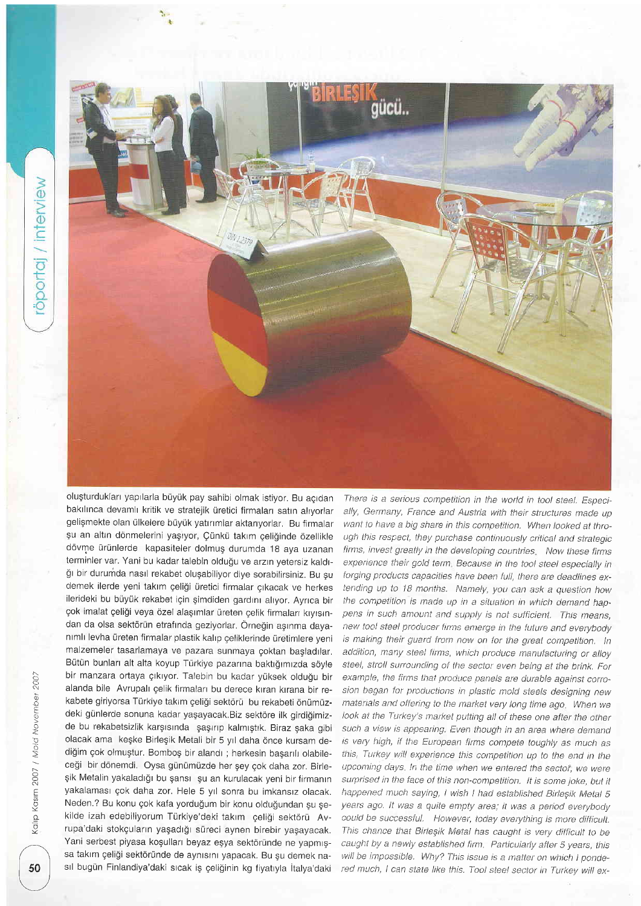

oluşturdukları yapılarla büyük pay sahibi olmak istiyor. Bu açıdan bakılınca devamlı kritik ve stratejik üretici firmaları satın alıyorlar gelişmekte olan ülkelere büyük yatırımlar aktarıyorlar. Bu firmalar şu an altın dönmelerini yaşıyor, Çünkü takım çeliğinde özellikle dövme ürünlerde kapasiteler dolmuş durumda 18 aya uzanan terminler var. Yani bu kadar talebin olduğu ve arzın yetersiz kaldığı bir durumda nasıl rekabet oluşabiliyor diye sorabilirsiniz. Bu su demek ilerde yeni takım çeliği üretici firmalar çıkacak ve herkes ilerideki bu büyük rekabet için şimdiden gardını alıyor. Ayrıca bir çok imalat çeliği veya özel alaşımlar üreten çelik firmaları kıyısından da olsa sektörün etrafında geziyorlar. Örneğin aşınma dayanımlı levha üreten firmalar plastik kalıp çeliklerinde üretimlere yeni malzemeler tasarlamaya ve pazara sunmaya goktan bagladllar. Bütün bunları alt alta koyup Türkiye pazarına baktığımızda söyle bir manzara ortaya çıkıyor. Talebin bu kadar yüksek olduğu bir alanda bile Avrupalr gelik firmalarr bu derece krran krrana bir rekabete giriyorsa Türkiye takım çeliği sektörü bu rekabeti önümüzdeki günlerde sonuna kadar yaşayacak.Biz sektöre ilk girdiğimizde bu rekabetsizlik karşısında şaşırıp kalmıştık. Biraz şaka gibi olacak ama keşke Birleşik Metali bir 5 yıl daha önce kursam dediğim çok olmuştur. Bomboş bir alandı ; herkesin başarılı olabileceği bir dönemdi. Oysa günümüzde her şey çok daha zor. Birleşik Metalin yakaladığı bu şansı şu an kurulacak yeni bir firmanın yakalaması çok daha zor. Hele 5 yıl sonra bu imkansız olacak. Neden.? Bu konu çok kafa yorduğum bir konu olduğundan şu şekilde izah edebiliyorum Türkiye'deki takım çeliği sektörü Avrupa'daki stokçuların yaşadığı süreci aynen birebir yaşayacak. Yani serbest piyasa koşulları beyaz eşya sektöründe ne yapmışsa takım çeliği sektöründe de aynısını yapacak. Bu şu demek nasıl bugün Finlandiya'daki sıcak iş çeliğinin kg fiyatıyla İtalya'daki

There is a serious competition in the world in tool steel, Especially, Germany, France and Austria with their structures made up want to have a big share in this competition. When looked at through this respect, they purchase continuously critical and strategic firms, invest greatly in the developing countries. Now these firms experience their gold term. Because in the tool steel especially in forging products capacities have been full, there are deadlines extending up to 18 months. Namely, you can ask a question how the competition is made up in a situation in which demand happens in such amount and supply is not sufficient. This means, new tool steel producer firms emerge in the future and everybody is making their guard from now on for the great competition. In addition, many steel firms, which produce manufacturing or alloy steel, stroll surrounding of the sector even being at the brink. For example, the firms that produce panels are durable against corrosion began for productions in plastic mold steels designing new materials and offering to the market very long time ago. When we look at the Turkey's market putting all of these one after the other such a view is appearing. Even though in an area where demand is very high, if the European firms compete toughly as much as this, Turkey will experience this competition up to the end in the upcoming days. In the time when we entered the sector, we were surprised in the face of this non-competition. It is some joke, but it happened much saying, I wish I had established Birleşik Metal 5 years ago. It was a quite empty area; it was a period everybody could be successful. However, today everything is more difficult. This chance that Birleşik Metal has caught is very difficult to be caught by a newly established firm. Particuiarly after 5 years, this will be impossible. Why? This issue is a matter on which I ponde-50 sıl bugün Finlandiya'daki sıcak iş çeliğinin kg fiyatıyla İtalya'daki red much, I can state like this. Tool steel sector in Turkey will ex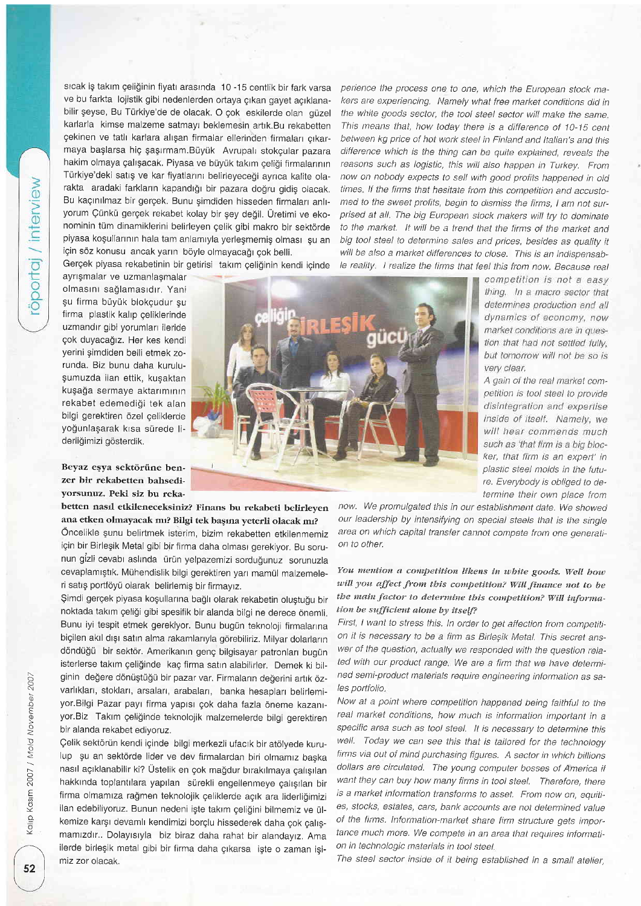öportaj / interview

sıcak iş takım çeliğinin fiyatı arasında 10 -15 centlik bir fark varsa ve bu farkta lojistik gibi nedenlerden ortaya çıkan gayet acıklanabilir şeyse, Bu Türkiye'de de olacak. O çok eskilerde olan güzel karlarla kimse malzeme satmayı beklemesin artık.Bu rekabetten çekinen ve tatlı karlara alışan firmalar ellerinden firmaları çıkarmaya başlarsa hiç şaşırmam.Büyük Avrupalı stokçular pazara hakim olmaya çalışacak. Piyasa ve büyük takım celiği firmalarının Türkiye'deki satış ve kar fiyatlarını belirleyeceği ayrıca kalite olarakta aradaki farkların kapandığı bir pazara doğru gidiş olacak. Bu kaçınılmaz bir gerçek. Bunu şimdiden hisseden firmaları anlıyorum Çünkü gerçek rekabet kolay bir şey değil. Üretimi ve ekonominin tüm dinamiklerini belirleyen çelik gibi makro bir sektörde piyasa koşullarının hala tam anlamıyla yerleşmemiş olması şu an icin söz konusu ancak yarın böyle olmayacağı çok belli.

Gergek piyasa rekabetinin bir getirisi taklm qeliginin kendi iginde

ayngmalar ve uzmanlagmalar olmasını sağlamasıdır. Yani şu firma büyük blokçudur su firma plastik kalıp çeliklerinde uzmandır gibi yorumları ileride çok duyacağız. Her kes kendi yerini gimdiden belli etmek zorunda. Biz bunu daha kurulugumuzda ilan ettik, kugaktan kuşağa sermaye aktarımının rekabet edemedigi tek alan bilgi gerektiren özel çeliklerde yoğunlaşarak kısa sürede liderliğimizi gösterdik.

Beyaz eşya sektörüne benzet bir rekabetten bahsediyorsunuz. Peki siz bu reka-

betten nasd etkileneceksiniz? Finans bu rekabeti belirleyen ana etken olmayacak mı? Bilgi tek başına yeterli olacak mı?

Oncelikle gunu belirtmek isterim, bizim rekabetten etkilenmemiz için bir Birleşik Metal gibi bir firma daha olması gerekiyor. Bu sorunun gizli cevabı aslında ürün yelpazemizi sorduğunuz sorunuzla cevaplamıştık. Mühendislik bilgi gerektiren yarı mamül malzemeleri satış portföyü olarak belirlemiş bir firmayız.

\$imdi gerqek piyasa kogullarrna baglr olarak rekabetin olugtugu bir noktada takım çeliği gibi spesifik bir alanda bilgi ne derece önemli. Bunu iyi tespit etmek gerekiyor. Bunu bugün teknoloji firmalarına biçilen akıl dışı satın alma rakamlarıyla görebiliriz. Milyar dolarların döndüğü bir sektör. Amerikanın genç bilgisayar patronları bugün isterlerse takım çeliğinde kaç firma satın alabilirler. Demek ki bilginin değere dönüştüğü bir pazar var. Firmaların değerini artık özvarlıkları, stokları, arsaları, arabaları, banka hesapları belirlemiyor.Bilgi Pazar payı firma yapısı çok daha fazla öneme kazanıyor.Biz Takım çeliğinde teknolojik malzemelerde bilgi gerektiren bir alanda rekabet ediyoruz.

Çelik sektörün kendi içinde bilgi merkezli ufacık bir atölyede kurulup şu an sektörde lider ve dev firmalardan biri olmamız başka nasıl açıklanabilir ki? Üstelik en çok mağdur bırakılmaya çalışılan hakkında toplantılara yapılan sürekli engellenmeye çalışılan bir firma olmamıza rağmen teknolojik çeliklerde açık ara liderliğimizi ilan edebiliyoruz. Bunun nedeni işte takım çeliğini bilmemiz ve ülkemize kargr devamlr kendimizi borqlu hissederek daha qok galrgmamrzdrr.. Dolayrsryla biz biraz daha rahat bir alandayrz. Ama ilerde birleşik metal gibi bir firma daha çıkarsa işte o zaman isimiz zor olacak. The steel sector inside of it being established in a small atelier,

perience the process one to one, which the European stock makers are experiencing. Namely what free market conditions did in the white goods sector, the tool steel sector will make the same. This means that, how ioday there is a difference of 10-15 cent between kg price of hot work steel in Finland and Italian's and this difference which is the thing can be quite explained, reveals the reasons such as logistic, this will also happen in Turkey. From now on nobody expects to sell with good profits happened in old times lf the firms that hesitate from this eompetition and aceustomed to the sweet profits, begin to dismiss the firms, I am not surprised at all. The big European stock makers will try to dominate to the market. It will be a trend that the firms of the market and big tool steel to determine sales and prices, besides as quality it will be also a market differences to close. This is an indispensable reality. I realize the firms that feel this from now. Because real



competition is not a easy thing. In a macro sector that determines production and all dynamics of economy, now market conditions are in question that had not settled fully. but tomorrow will not be so is very clear.

A gain of the real market competition is tool steel to provide disintegration and expertise inside of itself. Namely, we will hear commends much such as 'that firm is a big blocker, that firm is an expert' in plastic steel molds in the future. Everybody is obliged to deterrnine their own place from

now. We promulgated this in our establishment date. We showed our leadership by intensifying on special steels that is the single area on which capital transfer cannot compete from one generation to other.

# You mention a competition likens in white goods. Well how will you affect from this competition? Will finance not to be the main factor to determine this competition? Will information be sufficient alone by itself?

First, I want to stress this. In order to get affection from competition it is necessary to be a firm as Birleşik Metal. This secret answer of the question, actually we responded with the question related with our product range. We are a firm that we have determined semi-product materials require engineering information as sales portfolio.

Now at a point where competition happened being faithful to the real market conditions, how much is information important in a specific area such as tool steel. It is necessary to determine this well. Today we can see this that is tailored for the technology firms via out of mind purchasing figures. A sector in which billions dollars are circulated. The young computer bosses of America if want they can buy how many firms in tool steel. Therefore, there is a market information transforms to asset. From now on, equities, stocks, estates, cars, bank accounts are not determined value of the firms. Information-market share firm structure gets importance much more. We compete in an area that requires information in technologic materials in tool steel.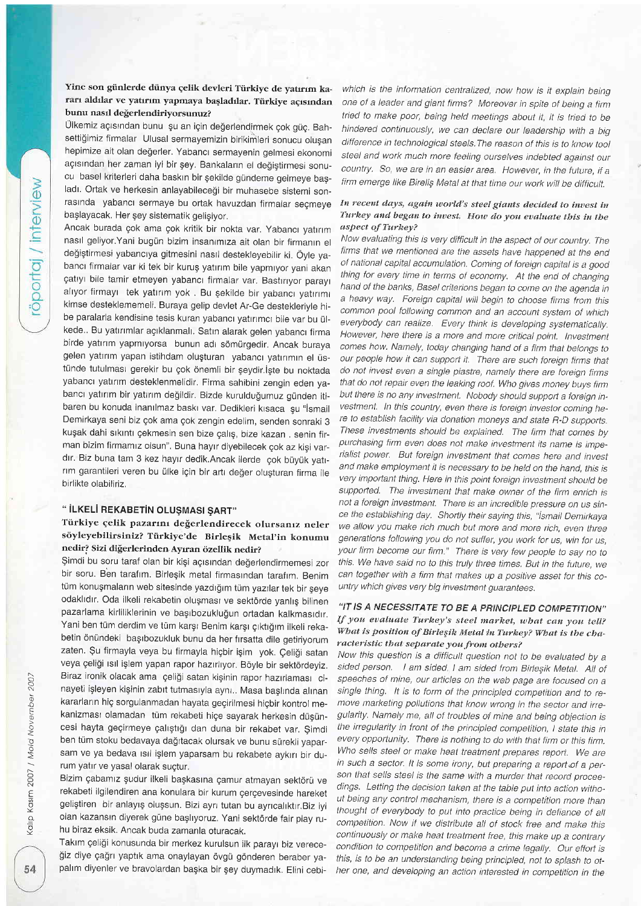# Yine son günlerde dünya çelik devleri Türkiye de yatırım kararı aldılar ve yatırım yapmaya başladılar. Türkiye açısından bunu nasıl değerlendiriyorsunuz?

Ülkemiz açısından bunu şu an için değerlendirmek çok güç. Bahsettiğimiz firmalar Ulusal sermayemizin birikimleri sonucu oluşan hepimize ait olan değerler. Yabancı sermayenin gelmesi ekonomi acısından her zaman iyi bir şey. Bankaların el değiştirmesi sonucu basel kriterleri daha baskın bir şekilde gündeme gelmeye başladı. Ortak ve herkesin anlayabileceği bir muhasebe sistemi sonrasında yabancı sermaye bu ortak havuzdan firmalar seçmeye baglayacak. Her gey sistematik geligiyor.

Ancak burada çok ama çok kritik bir nokta var. Yabancı yatırım nasıl geliyor.Yani bugün bizim insanımıza ait olan bir firmanın el değiştirmesi yabancıya gitmesini nasıl destekleyebilir ki. Öyle yabancı firmalar var ki tek bir kuruş yatırım bile yapmıyor yani akan çatıyı bile tamir etmeyen yabancı firmalar var. Bastırıyor parayı alıyor firmayı tek yatırım yok . Bu şekilde bir yabancı yatırımı kimse desteklememeli. Buraya gelip devlet Ar-Ge destekleriyle hibe paralarla kendisine tesis kuran yabancı yatırımcı bile var bu ülkede.. Bu yatırımlar açıklanmalı. Satın alarak gelen yabancı firma birde yatırım yapmıyorsa bunun adı sömürgedir. Ancak buraya gelen yatırım yapan istihdam oluşturan yabancı yatırımın el üstünde tutulması gerekir bu çok önemli bir şeydir.İşte bu noktada yabancı yatırım desteklenmelidir. Firma sahibini zengin eden yabancı yatırım bir yatırım değildir. Bizde kurulduğumuz günden itibaren bu konuda inanılmaz baskı var. Dedikleri kısaca şu "İsmail Demirkaya seni biz gok ama gok zengin edelim, senden sonraki 3 kuşak dahi sıkıntı çekmesin sen bize çalış, bize kazan . senin firman bizim firmamız olsun". Buna hayır diyebilecek çok az kişi vardır. Biz buna tam 3 kez hayır dedik.Ancak ilerde çok büyük yatırım garantileri veren bu ülke için bir artı değer oluşturan firma ile birlikte olabiliriz.

# " İLKELİ REKABETİN OLUŞMASI ŞART"

# Türkiye çelik pazarını değerlendirecek olursanız neler söyleyebilirsiniz? Türkiye'de Birleşik Metal'in konumu nedir? Sizi diğerlerinden Ayıran özellik nedir?

Şimdi bu soru taraf olan bir kişi açısından değerlendirmemesi zor bir soru. Ben tarafım. Birleşik metal firmasından tarafım. Benim tüm konuşmaların web sitesinde yazdığım tüm yazılar tek bir şeye odaklıdır. Oda ilkeli rekabetin oluşması ve sektörde yanlış bilinen pazarlama kirliliklerinin ve başıbozukluğun ortadan kalkmasıdır. Yani ben tüm derdim ve tüm karşı Benim karşı çıktığım ilkeli rekabetin önündeki başıbozukluk bunu da her fırsatta dile getiriyorum zaten. Şu firmayla veya bu firmayla hiçbir işim yok. Çeliği satan veya çeliği ısıl işlem yapan rapor hazırlıyor. Böyle bir sektördeyiz. Biraz ironik olacak ama çeliği satan kişinin rapor hazırlaması cinayeti işleyen kişinin zabıt tutmasıyla aynı.. Masa başlında alınan kararların hiç sorgulanmadan hayata geçirilmesi hiçbir kontrol mekanizması olamadan tüm rekabeti hiçe sayarak herkesin düşüncesi hayta geçirmeye çalıştığı dan duna bir rekabet var. Şimdi ben tüm stoku bedavaya dağıtacak olursak ve bunu sürekli yaparsam ve ya bedava ısıl işlem yaparsam bu rekabete aykırı bir durum yatır ve yasal olarak suçtur.

Bizim çabamız şudur ilkeli başkasına çamur atmayan sektörü ve rekabeti ilgilendiren ana konulara bir kurum gergevesinde hareket geliştiren bir anlayış oluşsun. Bizi ayrı tutan bu ayrıcalıktır. Biz iyi olan kazansın diyerek güne başlıyoruz. Yani sektörde fair play ruhu biraz eksik. Ancak buda zamanla oturacak.

Takım çeliği konusunda bir merkez kurulsun ilk parayı biz vereceğiz diye çağrı yaptık ama onaylayan övgü gönderen beraber yapalım diyenler ve bravolardan başka bir şey duymadık. Elini cebiwhich is the information centralized, now how is it explain being ane of a leader and giant firms? Moreover in spite of being a firm tried to make poor, being held meetings about it, it is tried to be hindered continuously, we can declare our leadership with a big difference in teehnological steels.The reason of this is to know tool steel and work much more feeling ourselves indebted against our country, So, we are in an easier area. However, in the future, if <sup>a</sup> firm emerge like Birelig Metal at that time our work wilt be diffieutt.

### In recent days, again world's steel giants decided to invest in Turkey and began to invest. How do you evaluate this in the aspect of Turkey?

Now evaluating this is very difficult in the aspect of our country. The firms that we mentioned are the assets have happened at the end of national capital accumulation. Coming of foreign capital is a good thing for every time in terms of economy. At the end of changing hand of the banks, Basel criterions began to come on the agenda in a heavy way. Foreign capital will begin to choose firms from this common pool following common and an account system of which everybody can realize. Every think is developing systematically. However, here there is a more and more critical point. lnvestment comes how. Namely, today changing hand of a firm that belongs to our people how it can support it. There are such foreign firms that do not invest even a single piastre, namely there are foreign firms that do not repair even the leaking roof. Who gives money buys firm but there is no any investment. Nobody should support a foreign investment. In this country, even there is foreign investor coming here to establish facility via donation moneys and state R-D supports. These investments should be explained. The firm that comes by purchasing firm even does not make investment its name is imperialist power. But foreign investment that comes here and invest and make employment it is necessary to be held on the hand, this is very imporlant thing. Here in this point foreign investment should be supported. The investment that make owner of the firm enrich is not a foreign investment. There is an incredible pressure on us since the establishing day. Shortly their saying this, "Ismail Demirkaya we allow you make rich much but more and more rich, even three generations following you do not suffer, you work for us, win for us, your firm become our firm." There is very few people to say no to this. We have said no to this truly three times, But in the future, we can together with a firm that makes up a positive asset for this country which gives very big investment guarantees.

## "IT IS A NECESSITATE TO BE A PRINCIPLED COMPETITION" If you evaluate Turkey's steel market, what can you tell? What is position of Birleşik Metal in Turkey? What is the characteristic that separate you from others?

Now this question is a difficult question not to be evaluated by a sided person. I am sided. I am sided from Birleşik Metal. All of speeches of mine, our articles on the web page are focused on a single thing. It is to form of the principled competition and to remove marketing pollutions that know wrong in the sector and irregularity, Namely me, all of troubles of mine and being objection is the irregularity in front of the principled competition, I state this in every opportunity. There is nothing to do with that firm or this firm. Who sells steel or make heat treatment prepares report. We are in such a sector. It is some irony, but preparing a report of a person that sells steel is the same with a murder that record proceedings. Letting the decision taken at the table put into action without being any control mechanism, there is a eompetition more than thought of everybody to put into practice being in defiance of all competition. Now if we distribute all of stock free and make this continuously or make heat treatment free, this make up a contrary condition to competition and become a erime legally. Our effoft is this, is to be an understanding being principled, not to splash to other one, and developing an action interested in competition in the